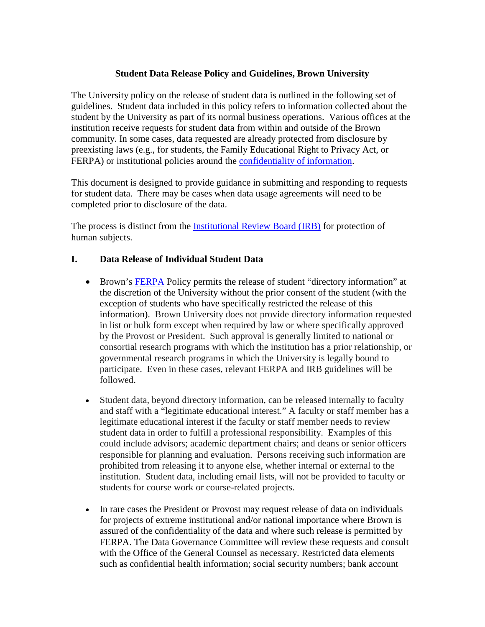## **Student Data Release Policy and Guidelines, Brown University**

The University policy on the release of student data is outlined in the following set of guidelines. Student data included in this policy refers to information collected about the student by the University as part of its normal business operations. Various offices at the institution receive requests for student data from within and outside of the Brown community. In some cases, data requested are already protected from disclosure by preexisting laws (e.g., for students, the Family Educational Right to Privacy Act, or FERPA) or institutional policies around the [confidentiality of information.](https://it.brown.edu/computing-policies/policy-handling-brown-restricted-information)

This document is designed to provide guidance in submitting and responding to requests for student data. There may be cases when data usage agreements will need to be completed prior to disclosure of the data.

The process is distinct from the [Institutional Review Board \(IRB\)](https://www.brown.edu/research/conducting-research-brown/research-compliance-irb-iacuc-coi-export-control/hrpp-irb-home-page) for protection of human subjects.

#### **I. Data Release of Individual Student Data**

- Brown's [FERPA](https://www.brown.edu/offices/student-conduct/family-educational-rights-and-privacy-act-ferpa) Policy permits the release of student "directory information" at the discretion of the University without the prior consent of the student (with the exception of students who have specifically restricted the release of this information). Brown University does not provide directory information requested in list or bulk form except when required by law or where specifically approved by the Provost or President. Such approval is generally limited to national or consortial research programs with which the institution has a prior relationship, or governmental research programs in which the University is legally bound to participate. Even in these cases, relevant FERPA and IRB guidelines will be followed.
- Student data, beyond directory information, can be released internally to faculty and staff with a "legitimate educational interest." A faculty or staff member has a legitimate educational interest if the faculty or staff member needs to review student data in order to fulfill a professional responsibility. Examples of this could include advisors; academic department chairs; and deans or senior officers responsible for planning and evaluation. Persons receiving such information are prohibited from releasing it to anyone else, whether internal or external to the institution. Student data, including email lists, will not be provided to faculty or students for course work or course-related projects.
- In rare cases the President or Provost may request release of data on individuals for projects of extreme institutional and/or national importance where Brown is assured of the confidentiality of the data and where such release is permitted by FERPA. The Data Governance Committee will review these requests and consult with the Office of the General Counsel as necessary. Restricted data elements such as confidential health information; social security numbers; bank account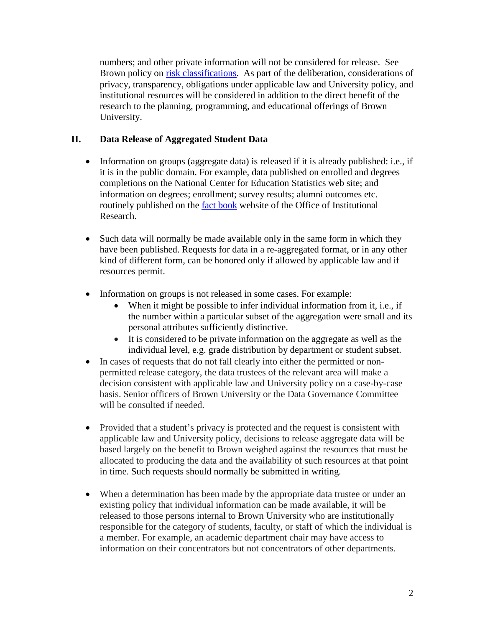numbers; and other private information will not be considered for release. See Brown policy on [risk classifications.](https://it.brown.edu/risk-classifications) As part of the deliberation, considerations of privacy, transparency, obligations under applicable law and University policy, and institutional resources will be considered in addition to the direct benefit of the research to the planning, programming, and educational offerings of Brown University.

# **II. Data Release of Aggregated Student Data**

- Information on groups (aggregate data) is released if it is already published: i.e., if it is in the public domain. For example, data published on enrolled and degrees completions on the National Center for Education Statistics web site; and information on degrees; enrollment; survey results; alumni outcomes etc. routinely published on the [fact book](https://www.brown.edu/about/administration/institutional-research/factbook) website of the Office of Institutional Research.
- Such data will normally be made available only in the same form in which they have been published. Requests for data in a re-aggregated format, or in any other kind of different form, can be honored only if allowed by applicable law and if resources permit.
- Information on groups is not released in some cases. For example:
	- When it might be possible to infer individual information from it, i.e., if the number within a particular subset of the aggregation were small and its personal attributes sufficiently distinctive.
	- It is considered to be private information on the aggregate as well as the individual level, e.g. grade distribution by department or student subset.
- In cases of requests that do not fall clearly into either the permitted or nonpermitted release category, the data trustees of the relevant area will make a decision consistent with applicable law and University policy on a case-by-case basis. Senior officers of Brown University or the Data Governance Committee will be consulted if needed.
- Provided that a student's privacy is protected and the request is consistent with applicable law and University policy, decisions to release aggregate data will be based largely on the benefit to Brown weighed against the resources that must be allocated to producing the data and the availability of such resources at that point in time. Such requests should normally be submitted in writing.
- When a determination has been made by the appropriate data trustee or under an existing policy that individual information can be made available, it will be released to those persons internal to Brown University who are institutionally responsible for the category of students, faculty, or staff of which the individual is a member. For example, an academic department chair may have access to information on their concentrators but not concentrators of other departments.